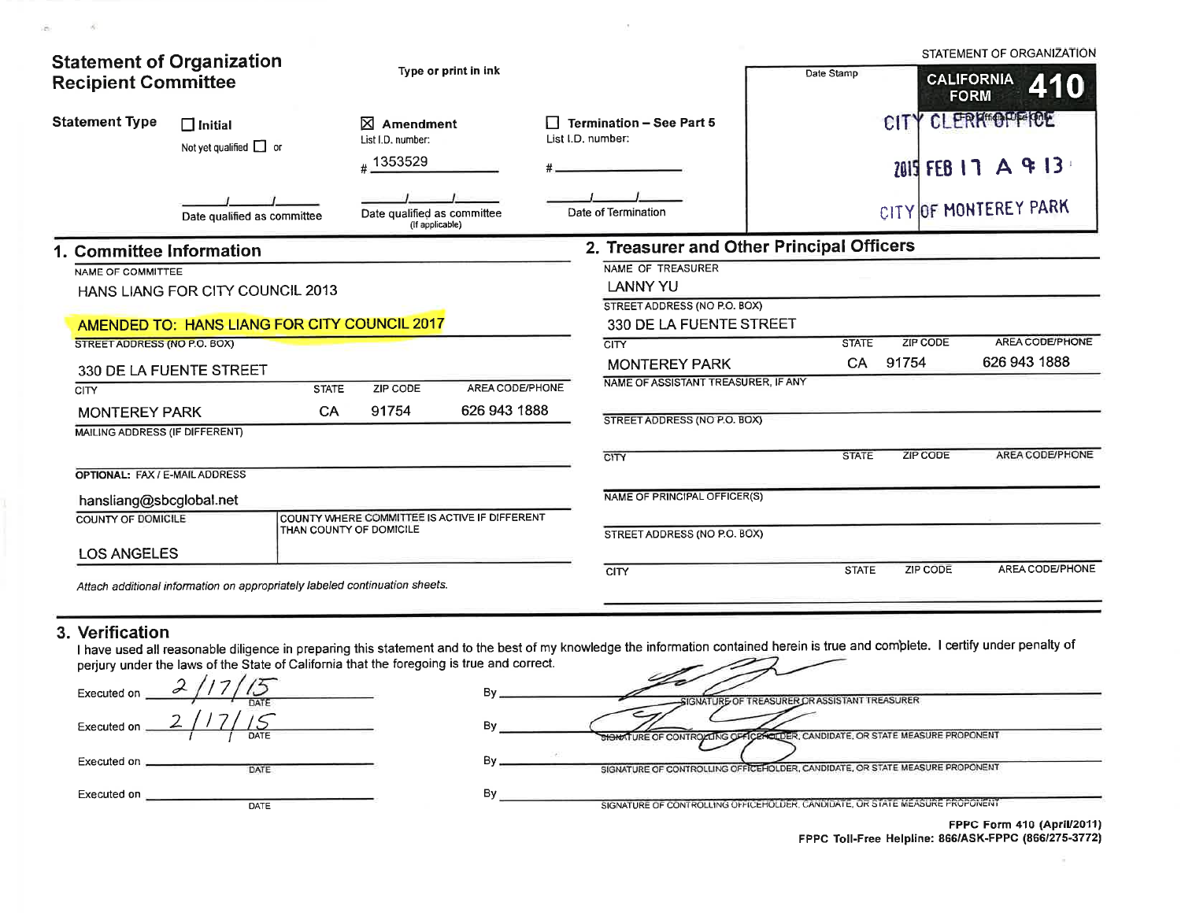| <b>Statement of Organization</b><br><b>Recipient Committee</b>         |                                                                             | Type or print in ink                                                     |                 |                                                      | Date Stamp                                |  |                                         | STATEMENT OF ORGANIZATION<br><b>CALIFORNIA</b><br>410<br><b>FORM</b> |                        |
|------------------------------------------------------------------------|-----------------------------------------------------------------------------|--------------------------------------------------------------------------|-----------------|------------------------------------------------------|-------------------------------------------|--|-----------------------------------------|----------------------------------------------------------------------|------------------------|
| <b>Statement Type</b><br>$\Box$ Initial<br>Not yet qualified $\Box$ or |                                                                             | ⊠<br>Amendment<br>List I.D. number:<br>#1353529                          |                 | <b>Termination - See Part 5</b><br>List I.D. number: |                                           |  | CITY CLERK OFFICE<br>2015 FEB 17 A 9 13 |                                                                      |                        |
|                                                                        | Date qualified as committee                                                 | Date qualified as committee<br>(If applicable)                           |                 |                                                      | Date of Termination                       |  |                                         |                                                                      | CITY OF MONTEREY PARK  |
| 1. Committee Information                                               |                                                                             |                                                                          |                 |                                                      | 2. Treasurer and Other Principal Officers |  |                                         |                                                                      |                        |
| NAME OF COMMITTEE                                                      |                                                                             |                                                                          |                 |                                                      | NAME OF TREASURER                         |  |                                         |                                                                      |                        |
|                                                                        | HANS LIANG FOR CITY COUNCIL 2013                                            |                                                                          |                 |                                                      | <b>LANNY YU</b>                           |  |                                         |                                                                      |                        |
|                                                                        |                                                                             |                                                                          |                 |                                                      | STREET ADDRESS (NO P.O. BOX)              |  |                                         |                                                                      |                        |
|                                                                        | AMENDED TO: HANS LIANG FOR CITY COUNCIL 2017                                |                                                                          |                 |                                                      | 330 DE LA FUENTE STREET                   |  |                                         |                                                                      |                        |
| STREET ADDRESS (NO P.O. BOX)                                           |                                                                             |                                                                          |                 |                                                      | <b>CITY</b>                               |  | <b>STATE</b>                            | <b>ZIP CODE</b>                                                      | <b>AREA CODE/PHONE</b> |
|                                                                        | 330 DE LA FUENTE STREET                                                     |                                                                          |                 |                                                      | <b>MONTEREY PARK</b>                      |  | CA.                                     | 91754                                                                | 626 943 1888           |
| <b>CITY</b>                                                            | <b>STATE</b>                                                                | ZIP CODE                                                                 | AREA CODE/PHONE |                                                      | NAME OF ASSISTANT TREASURER, IF ANY       |  |                                         |                                                                      |                        |
| <b>MONTEREY PARK</b>                                                   | <b>CA</b>                                                                   | 91754                                                                    | 626 943 1888    |                                                      |                                           |  |                                         |                                                                      |                        |
| MAILING ADDRESS (IF DIFFERENT)                                         |                                                                             |                                                                          |                 |                                                      | STREET ADDRESS (NO P.O. BOX)              |  |                                         |                                                                      |                        |
|                                                                        |                                                                             |                                                                          |                 |                                                      | CITY                                      |  | <b>STATE</b>                            | <b>ZIP CODE</b>                                                      | <b>AREA CODE/PHONE</b> |
| OPTIONAL: FAX / E-MAIL ADDRESS                                         |                                                                             |                                                                          |                 |                                                      |                                           |  |                                         |                                                                      |                        |
|                                                                        |                                                                             |                                                                          |                 |                                                      |                                           |  |                                         |                                                                      |                        |
| hansliang@sbcglobal.net                                                |                                                                             |                                                                          |                 |                                                      | NAME OF PRINCIPAL OFFICER(S)              |  |                                         |                                                                      |                        |
| <b>COUNTY OF DOMICILE</b>                                              |                                                                             | COUNTY WHERE COMMITTEE IS ACTIVE IF DIFFERENT<br>THAN COUNTY OF DOMICILE |                 |                                                      | STREET ADDRESS (NO P.O. BOX)              |  |                                         |                                                                      |                        |
| <b>LOS ANGELES</b>                                                     |                                                                             |                                                                          |                 |                                                      |                                           |  |                                         |                                                                      |                        |
|                                                                        | Attach additional information on appropriately labeled continuation sheets. |                                                                          |                 |                                                      | <b>CITY</b>                               |  | <b>STATE</b>                            | <b>ZIP CODE</b>                                                      | AREA CODE/PHONE        |

 $\bar{\nu}$ 

## 3. Verification

 $\mathcal{L}$ 

I have used all reasonable diligence in preparing this statement and to the best of my knowledge the information contained herein is true and complete. I certify under penalty of perjury under the laws of the State of Cal

| Executed on | DATE |  |
|-------------|------|--|
| Executed on | DATE |  |
| Executed on | DATE |  |
| Executed on | DATE |  |

| ie and correct. |                                                                              |
|-----------------|------------------------------------------------------------------------------|
| Bv              | SIGNATURE OF TREASURER OR ASSISTANT TREASURER                                |
| Bv              | SHONATURE OF CONTROLLING OFFICENCIDER, CANDIDATE, OR STATE MEASURE PROPONENT |
| SB.<br>Bv       | SIGNATURE OF CONTROLLING OFFICEHOLDER, CANDIDATE, OR STATE MEASURE PROPONENT |
| Bv              | SIGNATURE OF CONTROLLING OFFICEHOLDER, CANDIDATE, OR STATE MEASURE PROPONENT |

FPPC Form 410 (April/2011)<br>FPPC Toll-Free Helpline: 866/ASK-FPPC (866/275-3772)